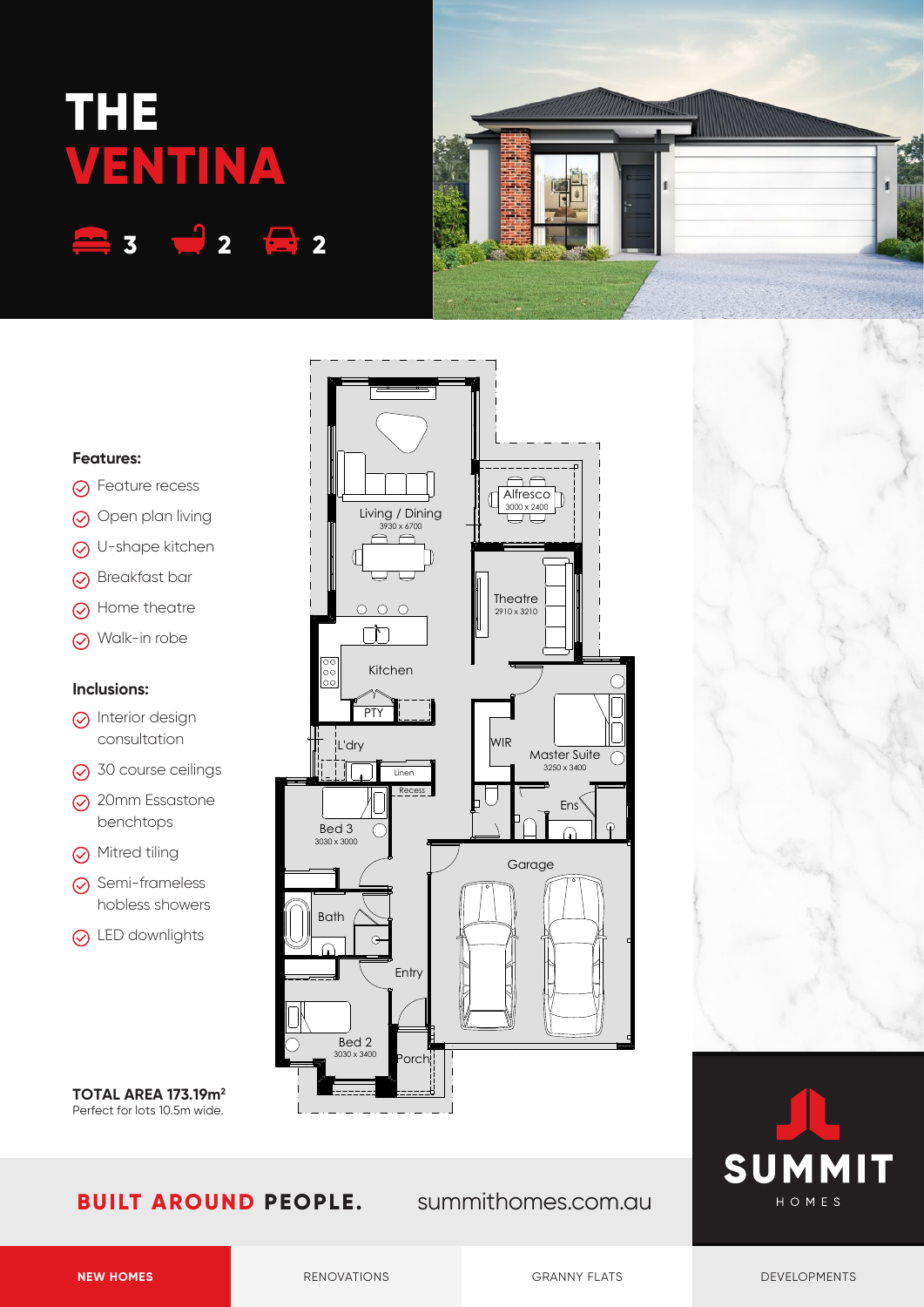# **THE VENTINA 3 2 2**



### **Features:**

- **⊙** Feature recess
- Open plan living
- U-shape kitchen
- Breakfast bar
- **S** Home theatre
- Walk-in robe

#### **Inclusions:**

- **O** Interior design consultation
- 30 course ceilings
- 20mm Essastone benchtops
- **⊙** Mitred tiling
- Semi-frameless hobless showers
- **⊙** LED downlights

**TOTAL AREA 173.19m2** Perfect for lots 10.5m wide.



## **BUILT AROUND PEOPLE.** summithomes.com.au